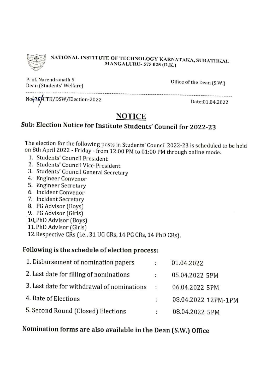

## NATIONAL INSTITUTE OF TECHNOLOGY KARNATAKA, SURATHKAL **MANGALURU-575 025 (D.K.)**

Prof. Narendranath S Dean (Students' Welfare)

Office of the Dean (S.W.)

Not25NITK/DSW/Election-2022

Date:01.04.2022

## **NOTICE**

---------------------------

# Sub: Election Notice for Institute Students' Council for 2022-23

The election for the following posts in Students' Council 2022-23 is scheduled to be held on 8th April 2022 - Friday - from 12:00 PM to 01:00 PM through online mode.

- 1. Students' Council President
- 2. Students' Council Vice-President
- 3. Students' Council General Secretary
- 4. Engineer Convenor
- 5. Engineer Secretary
- 6. Incident Convenor
- 7. Incident Secretary
- 8. PG Advisor (Boys)
- 9. PG Advisor (Girls)
- 10, PhD Advisor (Boys)
- 11. PhD Advisor (Girls)

12. Respective CRs (i.e., 31 UG CRs, 14 PG CRs, 14 PhD CRs).

## Following is the schedule of election process:

| 1. Disbursement of nomination papers       | $\ddot{\cdot}$       | 01.04.2022          |
|--------------------------------------------|----------------------|---------------------|
| 2. Last date for filling of nominations    | $\sim$               | 05.04.2022 5PM      |
| 3. Last date for withdrawal of nominations | $\ddot{\phantom{1}}$ | 06.04.2022 5PM      |
| 4. Date of Elections                       | ÷                    | 08.04.2022 12PM-1PM |
| 5. Second Round (Closed) Elections         | ÷.                   | 08.04.2022 5PM      |

## Nomination forms are also available in the Dean (S.W.) Office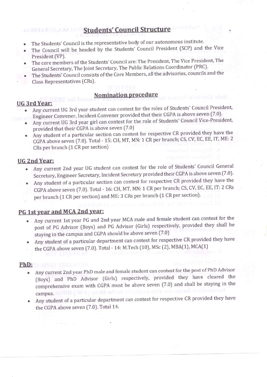## **Students' Council Structure**

- The Students' Council is the representative body of our autonomous institute.  $\bullet$
- The Council will be headed by the Students' Council President (SCP) and the Vice President (VP).
- The core members of the Students' Council are: The President, The Vice President, The General Secretary, The Joint Secretary, The Public Relations Coordinator (PRC).
- The Students' Council consists of the Core Members, all the advisories, councils and the
- Class Representatives (CRs).

S und li

## Nomination procedure

#### **UG 3rd Year:**

- Any current UG 3rd year student can contest for the roles of Students' Council President, Engineer Convener, Incident Convener provided that their CGPA is above seven (7.0).
- Any current UG 3rd year girl can contest for the role of Students' Council Vice-President, provided that their CGPA is above seven (7.0)
- Any student of a particular section can contest for respective CR provided they have the CGPA above seven (7.0). Total - 15: CH, MT, MN: 1 CR per branch; CS, CV, EC, EE, IT, ME: 2 CRs per branch (1 CR per section)

## **UG 2nd Year:**

- Any current 2nd year UG student can contest for the role of Students' Council General Secretary, Engineer Secretary, Incident Secretary provided their CGPA is above seven (7.0).
- Any student of a particular section can contest for respective CR provided they have the CGPA above seven (7.0). Total - 16: CH, MT, MN: 1 CR per branch; CS, CV, EC, EE, IT: 2 CRs per branch (1 CR per section) and ME: 3 CRs per branch (1 CR per section).

## PG 1st year and MCA 2nd year:

- Any current 1st year PG and 2nd year MCA male and female student can contest for the post of PG Advisor (Boys) and PG Advisor (Girls) respectively, provided they shall be staying in the campus and CGPA should be above seven (7.0)
- Any student of a particular department can contest for respective CR provided they have the CGPA above seven (7.0). Total - 14: M.Tech (10), MSc (2), MBA(1), MCA(1)

### PhD: 11-MAST SSOS. NO.BO

- Any current 2nd year PhD male and female student can contest for the post of PhD Advisor (Boys) and PhD Advisor (Girls) respectively, provided they have cleared the comprehensive exam with CGPA must be above seven (7.0) and shall be staying in the  $campus.  $\Box$$
- Any student of a particular department can contest for respective CR provided they have the CGPA above seven (7.0). Total 14.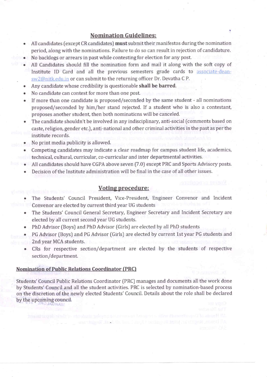#### **Nomination Guidelines:**

- All candidates (except CR candidates) must submit their manifestos during the nomination period, along with the nominations. Failure to do so can result in rejection of candidature.
- No backlogs or arrears in past while contesting for election for any post.
- All Candidates should fill the nomination form and mail it along with the soft copy of Institute ID Card and all the previous semesters grade cards to associate-deansw2@nitk.edu.in or can submit to the returning officer Dr. Devatha C P.
- Any candidate whose credibility is questionable shall be barred.
- No candidate can contest for more than one post.
- If more than one candidate is proposed/seconded by the same student all nominations proposed/seconded by him/her stand rejected. If a student who is also a contestant, proposes another student, then both nominations will be canceled.
- The candidate shouldn't be involved in any indisciplinary, anti-social (comments based on caste, religion, gender etc.), anti-national and other criminal activities in the past as per the institute records.
- No print media publicity is allowed.
- Competing candidates may indicate a clear roadmap for campus student life, academics, technical, cultural, curricular, co-curricular and inter departmental activities.
	- All candidates should have CGPA above seven (7.0) except PRC and Sports Advisory posts.
	- Decision of the Institute administration will be final in the case of all other issues.

#### **Voting procedure:**

- The Students' Council President, Vice-President, Engineer Convenor and Incident Convenor are elected by current third year UG students
	- The Students' Council General Secretary, Engineer Secretary and Incident Secretary are elected by all current second year UG students.
	- PhD Advisor (Boys) and PhD Advisor (Girls) are elected by all PhD students
- PG Advisor (Boys) and PG Advisor (Girls) are elected by current 1st year PG students and 2nd year MCA students.
	- CRs for respective section/department are elected by the students of respective section/department.

#### **Nomination of Public Relations Coordinator (PRC)**

ADMAN

Students' Council Public Relations Coordinator (PRC) manages and documents all the work done by Students' Council and all the student activities. PRC is selected by nomination-based process on the discretion of the newly elected Students' Council. Details about the role shall be declared by the upcoming council.

artalesi Jash (h. hu. ) er. A redareti tekin artiketi, aras ilk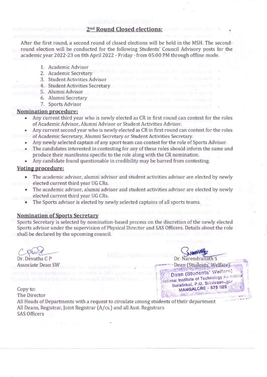#### 2<sup>nd</sup> Round Closed elections:

After the first round, a second round of closed elections will be held in the MSH. The secondround election will be conducted for the following Students' Council Advisory posts for the academic year 2022-23 on 8th April 2022 - Friday - from 05:00 PM through offline mode.

- 1. Academic Advisor
- 2. Academic Secretary
- 3. Student Activities Advisor
- 4. Student Activities Secretary
- 5. Alumni Advisor
- 6. Alumni Secretary
- 7. Sports Advisor

#### **Nomination procedure:**

- Any current third year who is newly elected as CR in first round can contest for the roles of Academic Advisor, Alumni Advisor or Student Activities Advisor.
- Any current second year who is newly elected as CR in first round can contest for the roles of Academic Secretary, Alumni Secretary or Student Activities Secretary.
- Any newly selected captain of any sport team can contest for the role of Sports Advisor.
- The candidates interested in contesting for any of these roles should inform the same and produce their manifestos specific to the role along with the CR nomination.
- Any candidate found questionable in credibility may be barred from contesting.

#### **Voting procedure:**

- The academic advisor, alumni advisor and student activities advisor are elected by newly elected current third year UG CRs.
- The academic advisor, alumni advisor and student activities advisor are elected by newly elected current third year UG CRs.
- The Sports advisor is elected by newly selected captains of all sports teams.

#### **Nomination of Sports Secretary**

Sports Secretary is selected by nomination-based process on the discretion of the newly elected Sports advisor under the supervision of Physical Director and SAS Officers. Details about the role shall be declared by the upcoming council.

Dr. Devatha C P **Associate Dean SW** 

Dr. Narendranath S Dean (Students' Welfare) Dean (Students' Welfare) National Institute of Technology Karnati Surathkal, P.O. Srinivasnagar MANGALORE - 575 025

Copy to: The Director All Heads of Departments with a request to circulate among students of their department All Deans, Registrar, Joint Registrar (A/cs.) and all Asst. Registrars **SAS Officers**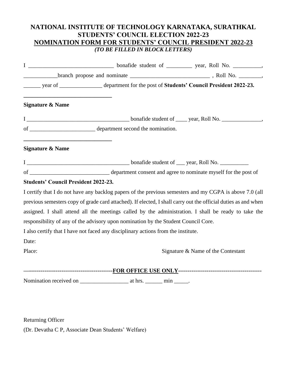## **NATIONAL INSTITUTE OF TECHNOLOGY KARNATAKA, SURATHKAL STUDENTS' COUNCIL ELECTION 2022-23 NOMINATION FORM FOR STUDENTS' COUNCIL PRESIDENT 2022-23** *(TO BE FILLED IN BLOCK LETTERS)*

| year of ______________________ department for the post of Students' Council President 2022-23.                                    |  |                                    |
|-----------------------------------------------------------------------------------------------------------------------------------|--|------------------------------------|
| <b>Signature &amp; Name</b>                                                                                                       |  |                                    |
|                                                                                                                                   |  |                                    |
| of <u>epartment</u> second the nomination.                                                                                        |  |                                    |
| <u> 1989 - Johann Barbara, martxa alemaniar amerikan baratzaren 1980an biztanle arteko hamarka</u><br><b>Signature &amp; Name</b> |  |                                    |
|                                                                                                                                   |  |                                    |
|                                                                                                                                   |  |                                    |
| <b>Students' Council President 2022-23.</b>                                                                                       |  |                                    |
| I certify that I do not have any backlog papers of the previous semesters and my CGPA is above 7.0 (all                           |  |                                    |
| previous semesters copy of grade card attached). If elected, I shall carry out the official duties as and when                    |  |                                    |
| assigned. I shall attend all the meetings called by the administration. I shall be ready to take the                              |  |                                    |
| responsibility of any of the advisory upon nomination by the Student Council Core.                                                |  |                                    |
| I also certify that I have not faced any disciplinary actions from the institute.                                                 |  |                                    |
| Date:                                                                                                                             |  |                                    |
| Place:                                                                                                                            |  | Signature & Name of the Contestant |
|                                                                                                                                   |  |                                    |
|                                                                                                                                   |  |                                    |
|                                                                                                                                   |  |                                    |
|                                                                                                                                   |  |                                    |

Returning Officer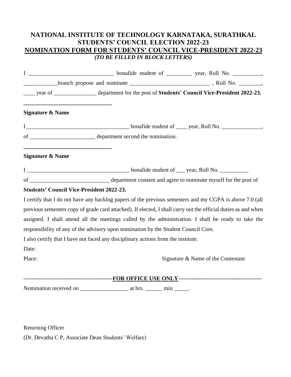## **NATIONAL INSTITUTE OF TECHNOLOGY KARNATAKA, SURATHKAL STUDENTS' COUNCIL ELECTION 2022-23 NOMINATION FORM FOR STUDENTS' COUNCIL VICE-PRESIDENT 2022-23** *(TO BE FILLED IN BLOCK LETTERS)*

|                                                                                          | year of _________________ department for the post of Students' Council Vice-President 2022-23.                 |                                    |
|------------------------------------------------------------------------------------------|----------------------------------------------------------------------------------------------------------------|------------------------------------|
| <b>Signature &amp; Name</b>                                                              |                                                                                                                |                                    |
|                                                                                          |                                                                                                                |                                    |
|                                                                                          |                                                                                                                |                                    |
| <u> 1989 - Johann Barn, amerikansk politiker (* 1908)</u><br><b>Signature &amp; Name</b> |                                                                                                                |                                    |
|                                                                                          |                                                                                                                |                                    |
|                                                                                          |                                                                                                                |                                    |
| <b>Students' Council Vice-President 2022-23.</b>                                         |                                                                                                                |                                    |
|                                                                                          | I certify that I do not have any backlog papers of the previous semesters and my CGPA is above 7.0 (all        |                                    |
|                                                                                          | previous semesters copy of grade card attached). If elected, I shall carry out the official duties as and when |                                    |
|                                                                                          | assigned. I shall attend all the meetings called by the administration. I shall be ready to take the           |                                    |
|                                                                                          | responsibility of any of the advisory upon nomination by the Student Council Core.                             |                                    |
|                                                                                          | I also certify that I have not faced any disciplinary actions from the institute.                              |                                    |
| Date:                                                                                    |                                                                                                                |                                    |
| Place:                                                                                   |                                                                                                                | Signature & Name of the Contestant |
|                                                                                          |                                                                                                                |                                    |
|                                                                                          |                                                                                                                |                                    |

Returning Officer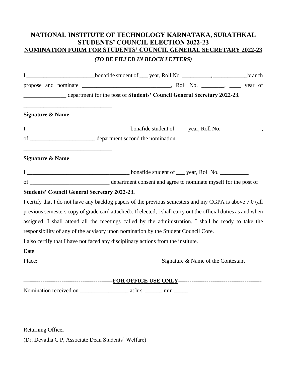## **NATIONAL INSTITUTE OF TECHNOLOGY KARNATAKA, SURATHKAL STUDENTS' COUNCIL ELECTION 2022-23 NOMINATION FORM FOR STUDENTS' COUNCIL GENERAL SECRETARY 2022-23**

#### *(TO BE FILLED IN BLOCK LETTERS)*

|                                                                                   | I ______________________________bonafide student of ____ year, Roll No. ____________, _________________branch  |  |
|-----------------------------------------------------------------------------------|----------------------------------------------------------------------------------------------------------------|--|
|                                                                                   |                                                                                                                |  |
|                                                                                   | department for the post of Students' Council General Secretary 2022-23.                                        |  |
|                                                                                   |                                                                                                                |  |
| <b>Signature &amp; Name</b>                                                       |                                                                                                                |  |
|                                                                                   |                                                                                                                |  |
|                                                                                   |                                                                                                                |  |
| <b>Signature &amp; Name</b>                                                       |                                                                                                                |  |
|                                                                                   |                                                                                                                |  |
|                                                                                   |                                                                                                                |  |
| <b>Students' Council General Secretary 2022-23.</b>                               |                                                                                                                |  |
|                                                                                   | I certify that I do not have any backlog papers of the previous semesters and my CGPA is above 7.0 (all        |  |
|                                                                                   | previous semesters copy of grade card attached). If elected, I shall carry out the official duties as and when |  |
|                                                                                   | assigned. I shall attend all the meetings called by the administration. I shall be ready to take the           |  |
|                                                                                   | responsibility of any of the advisory upon nomination by the Student Council Core.                             |  |
| I also certify that I have not faced any disciplinary actions from the institute. |                                                                                                                |  |
| Date:                                                                             |                                                                                                                |  |
| Place:                                                                            | Signature & Name of the Contestant                                                                             |  |
|                                                                                   |                                                                                                                |  |
|                                                                                   |                                                                                                                |  |
|                                                                                   |                                                                                                                |  |
|                                                                                   |                                                                                                                |  |

Returning Officer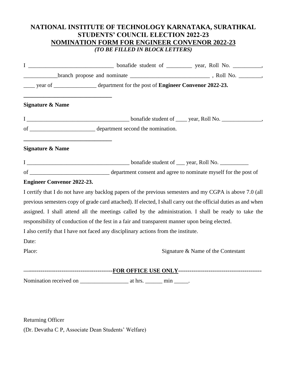## **NATIONAL INSTITUTE OF TECHNOLOGY KARNATAKA, SURATHKAL STUDENTS' COUNCIL ELECTION 2022-23 NOMINATION FORM FOR ENGINEER CONVENOR 2022-23** *(TO BE FILLED IN BLOCK LETTERS)*

|                                                                                           | year of ________________ department for the post of <b>Engineer Convenor 2022-23.</b>         |                                                                                                                |
|-------------------------------------------------------------------------------------------|-----------------------------------------------------------------------------------------------|----------------------------------------------------------------------------------------------------------------|
| <b>Signature &amp; Name</b>                                                               |                                                                                               |                                                                                                                |
|                                                                                           |                                                                                               |                                                                                                                |
|                                                                                           |                                                                                               |                                                                                                                |
| <u> 1980 - Johann Barbara, martxa alemaniar amerikan a</u><br><b>Signature &amp; Name</b> |                                                                                               |                                                                                                                |
|                                                                                           |                                                                                               |                                                                                                                |
|                                                                                           |                                                                                               |                                                                                                                |
| <b>Engineer Convenor 2022-23.</b>                                                         |                                                                                               |                                                                                                                |
|                                                                                           |                                                                                               | I certify that I do not have any backlog papers of the previous semesters and my CGPA is above 7.0 (all        |
|                                                                                           |                                                                                               | previous semesters copy of grade card attached). If elected, I shall carry out the official duties as and when |
|                                                                                           |                                                                                               | assigned. I shall attend all the meetings called by the administration. I shall be ready to take the           |
|                                                                                           | responsibility of conduction of the fest in a fair and transparent manner upon being elected. |                                                                                                                |
|                                                                                           | I also certify that I have not faced any disciplinary actions from the institute.             |                                                                                                                |
| Date:                                                                                     |                                                                                               |                                                                                                                |
| Place:                                                                                    |                                                                                               | Signature & Name of the Contestant                                                                             |
|                                                                                           |                                                                                               |                                                                                                                |
|                                                                                           |                                                                                               |                                                                                                                |
|                                                                                           |                                                                                               |                                                                                                                |
|                                                                                           |                                                                                               |                                                                                                                |
|                                                                                           |                                                                                               |                                                                                                                |

Returning Officer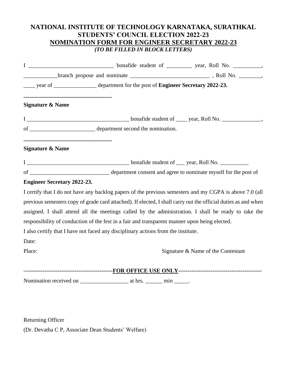## **NATIONAL INSTITUTE OF TECHNOLOGY KARNATAKA, SURATHKAL STUDENTS' COUNCIL ELECTION 2022-23 NOMINATION FORM FOR ENGINEER SECRETARY 2022-23** *(TO BE FILLED IN BLOCK LETTERS)*

| year of _______________ department for the post of Engineer Secretary 2022-23.                                 |  |                                    |
|----------------------------------------------------------------------------------------------------------------|--|------------------------------------|
| <b>Signature &amp; Name</b>                                                                                    |  |                                    |
|                                                                                                                |  |                                    |
|                                                                                                                |  |                                    |
| <u> 1980 - Johann Barbara, martxa alemaniar arg</u><br><b>Signature &amp; Name</b>                             |  |                                    |
|                                                                                                                |  |                                    |
|                                                                                                                |  |                                    |
| <b>Engineer Secretary 2022-23.</b>                                                                             |  |                                    |
| I certify that I do not have any backlog papers of the previous semesters and my CGPA is above 7.0 (all        |  |                                    |
| previous semesters copy of grade card attached). If elected, I shall carry out the official duties as and when |  |                                    |
| assigned. I shall attend all the meetings called by the administration. I shall be ready to take the           |  |                                    |
| responsibility of conduction of the fest in a fair and transparent manner upon being elected.                  |  |                                    |
| I also certify that I have not faced any disciplinary actions from the institute.                              |  |                                    |
| Date:                                                                                                          |  |                                    |
| Place:                                                                                                         |  | Signature & Name of the Contestant |
|                                                                                                                |  |                                    |
|                                                                                                                |  |                                    |
|                                                                                                                |  |                                    |
|                                                                                                                |  |                                    |

Returning Officer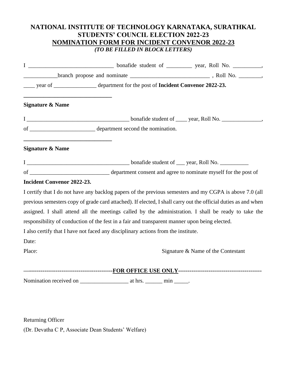## **NATIONAL INSTITUTE OF TECHNOLOGY KARNATAKA, SURATHKAL STUDENTS' COUNCIL ELECTION 2022-23 NOMINATION FORM FOR INCIDENT CONVENOR 2022-23** *(TO BE FILLED IN BLOCK LETTERS)*

|                                                                                                                                                     | year of __________________ department for the post of Incident Convenor 2022-23.              |                                                                                                                |
|-----------------------------------------------------------------------------------------------------------------------------------------------------|-----------------------------------------------------------------------------------------------|----------------------------------------------------------------------------------------------------------------|
| <b>Signature &amp; Name</b>                                                                                                                         |                                                                                               |                                                                                                                |
|                                                                                                                                                     |                                                                                               |                                                                                                                |
|                                                                                                                                                     |                                                                                               |                                                                                                                |
| <u> 1989 - Johann Barn, mars eta bat erroman erroman erroman erroman erroman erroman erroman erroman erroman err</u><br><b>Signature &amp; Name</b> |                                                                                               |                                                                                                                |
|                                                                                                                                                     |                                                                                               |                                                                                                                |
|                                                                                                                                                     |                                                                                               |                                                                                                                |
| <b>Incident Convenor 2022-23.</b>                                                                                                                   |                                                                                               |                                                                                                                |
|                                                                                                                                                     |                                                                                               | I certify that I do not have any backlog papers of the previous semesters and my CGPA is above 7.0 (all        |
|                                                                                                                                                     |                                                                                               | previous semesters copy of grade card attached). If elected, I shall carry out the official duties as and when |
|                                                                                                                                                     |                                                                                               | assigned. I shall attend all the meetings called by the administration. I shall be ready to take the           |
|                                                                                                                                                     | responsibility of conduction of the fest in a fair and transparent manner upon being elected. |                                                                                                                |
|                                                                                                                                                     | I also certify that I have not faced any disciplinary actions from the institute.             |                                                                                                                |
| Date:                                                                                                                                               |                                                                                               |                                                                                                                |
| Place:                                                                                                                                              |                                                                                               | Signature & Name of the Contestant                                                                             |
|                                                                                                                                                     |                                                                                               |                                                                                                                |
|                                                                                                                                                     |                                                                                               |                                                                                                                |
|                                                                                                                                                     |                                                                                               |                                                                                                                |
|                                                                                                                                                     |                                                                                               |                                                                                                                |
|                                                                                                                                                     |                                                                                               |                                                                                                                |

Returning Officer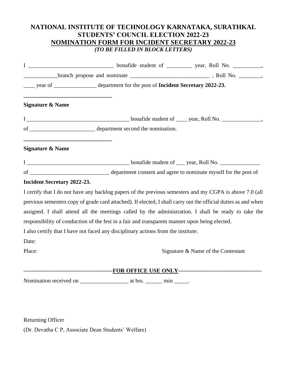## **NATIONAL INSTITUTE OF TECHNOLOGY KARNATAKA, SURATHKAL STUDENTS' COUNCIL ELECTION 2022-23 NOMINATION FORM FOR INCIDENT SECRETARY 2022-23** *(TO BE FILLED IN BLOCK LETTERS)*

|                                    | year of ________________ department for the post of Incident Secretary 2022-23.               |                                                                                                                |
|------------------------------------|-----------------------------------------------------------------------------------------------|----------------------------------------------------------------------------------------------------------------|
| <b>Signature &amp; Name</b>        |                                                                                               |                                                                                                                |
|                                    |                                                                                               |                                                                                                                |
|                                    |                                                                                               |                                                                                                                |
| <b>Signature &amp; Name</b>        |                                                                                               |                                                                                                                |
|                                    |                                                                                               |                                                                                                                |
|                                    |                                                                                               |                                                                                                                |
| <b>Incident Secretary 2022-23.</b> |                                                                                               |                                                                                                                |
|                                    |                                                                                               | I certify that I do not have any backlog papers of the previous semesters and my CGPA is above 7.0 (all        |
|                                    |                                                                                               | previous semesters copy of grade card attached). If elected, I shall carry out the official duties as and when |
|                                    |                                                                                               | assigned. I shall attend all the meetings called by the administration. I shall be ready to take the           |
|                                    | responsibility of conduction of the fest in a fair and transparent manner upon being elected. |                                                                                                                |
|                                    | I also certify that I have not faced any disciplinary actions from the institute.             |                                                                                                                |
| Date:                              |                                                                                               |                                                                                                                |
| Place:                             |                                                                                               | Signature & Name of the Contestant                                                                             |
|                                    |                                                                                               |                                                                                                                |
|                                    |                                                                                               |                                                                                                                |
|                                    |                                                                                               |                                                                                                                |
|                                    |                                                                                               |                                                                                                                |
|                                    |                                                                                               |                                                                                                                |

Returning Officer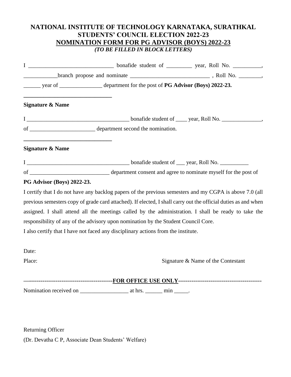## **NATIONAL INSTITUTE OF TECHNOLOGY KARNATAKA, SURATHKAL STUDENTS' COUNCIL ELECTION 2022-23 NOMINATION FORM FOR PG ADVISOR (BOYS) 2022-23** *(TO BE FILLED IN BLOCK LETTERS)*

| year of _____________________ department for the post of PG Advisor (Boys) 2022-23. |  |                                                                                                                |
|-------------------------------------------------------------------------------------|--|----------------------------------------------------------------------------------------------------------------|
| <b>Signature &amp; Name</b>                                                         |  |                                                                                                                |
|                                                                                     |  |                                                                                                                |
|                                                                                     |  |                                                                                                                |
| <b>Signature &amp; Name</b>                                                         |  |                                                                                                                |
|                                                                                     |  |                                                                                                                |
|                                                                                     |  |                                                                                                                |
| <b>PG Advisor (Boys) 2022-23.</b>                                                   |  |                                                                                                                |
|                                                                                     |  | I certify that I do not have any backlog papers of the previous semesters and my CGPA is above 7.0 (all        |
|                                                                                     |  | previous semesters copy of grade card attached). If elected, I shall carry out the official duties as and when |
|                                                                                     |  | assigned. I shall attend all the meetings called by the administration. I shall be ready to take the           |
| responsibility of any of the advisory upon nomination by the Student Council Core.  |  |                                                                                                                |
| I also certify that I have not faced any disciplinary actions from the institute.   |  |                                                                                                                |
| Date:                                                                               |  |                                                                                                                |
| Place:                                                                              |  | Signature & Name of the Contestant                                                                             |
|                                                                                     |  |                                                                                                                |
|                                                                                     |  |                                                                                                                |
|                                                                                     |  |                                                                                                                |
|                                                                                     |  |                                                                                                                |

Returning Officer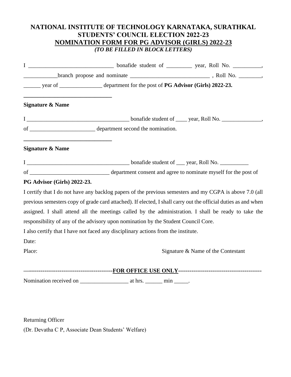## **NATIONAL INSTITUTE OF TECHNOLOGY KARNATAKA, SURATHKAL STUDENTS' COUNCIL ELECTION 2022-23 NOMINATION FORM FOR PG ADVISOR (GIRLS) 2022-23** *(TO BE FILLED IN BLOCK LETTERS)*

| year of _____________________ department for the post of PG Advisor (Girls) 2022-23.                           |
|----------------------------------------------------------------------------------------------------------------|
| <b>Signature &amp; Name</b>                                                                                    |
|                                                                                                                |
|                                                                                                                |
| <b>Signature &amp; Name</b>                                                                                    |
|                                                                                                                |
|                                                                                                                |
| <b>PG Advisor (Girls) 2022-23.</b>                                                                             |
| I certify that I do not have any backlog papers of the previous semesters and my CGPA is above 7.0 (all        |
| previous semesters copy of grade card attached). If elected, I shall carry out the official duties as and when |
| assigned. I shall attend all the meetings called by the administration. I shall be ready to take the           |
| responsibility of any of the advisory upon nomination by the Student Council Core.                             |
| I also certify that I have not faced any disciplinary actions from the institute.                              |
| Date:                                                                                                          |
| Place:<br>Signature & Name of the Contestant                                                                   |
|                                                                                                                |
|                                                                                                                |
|                                                                                                                |
|                                                                                                                |

Returning Officer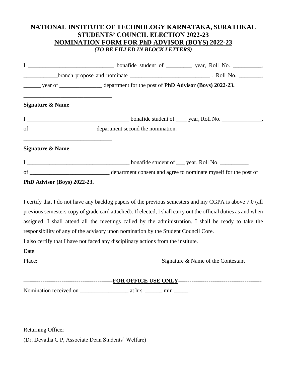## **NATIONAL INSTITUTE OF TECHNOLOGY KARNATAKA, SURATHKAL STUDENTS' COUNCIL ELECTION 2022-23 NOMINATION FORM FOR PhD ADVISOR (BOYS) 2022-23** *(TO BE FILLED IN BLOCK LETTERS)*

| $\frac{1}{2}$ year of $\frac{1}{2}$ department for the post of PhD Advisor (Boys) 2022-23.                                                                              |                                                                                                                                                                                                                                                                                                                                   |
|-------------------------------------------------------------------------------------------------------------------------------------------------------------------------|-----------------------------------------------------------------------------------------------------------------------------------------------------------------------------------------------------------------------------------------------------------------------------------------------------------------------------------|
| <b>Signature &amp; Name</b>                                                                                                                                             |                                                                                                                                                                                                                                                                                                                                   |
|                                                                                                                                                                         |                                                                                                                                                                                                                                                                                                                                   |
|                                                                                                                                                                         |                                                                                                                                                                                                                                                                                                                                   |
| <u> 1989 - Johann Barn, mars ann an t-Amhain an t-Amhain an t-Amhain an t-Amhain an t-Amhain an t-Amhain an t-Amh</u><br><b>Signature &amp; Name</b>                    |                                                                                                                                                                                                                                                                                                                                   |
|                                                                                                                                                                         |                                                                                                                                                                                                                                                                                                                                   |
|                                                                                                                                                                         |                                                                                                                                                                                                                                                                                                                                   |
| PhD Advisor (Boys) 2022-23.                                                                                                                                             |                                                                                                                                                                                                                                                                                                                                   |
| responsibility of any of the advisory upon nomination by the Student Council Core.<br>I also certify that I have not faced any disciplinary actions from the institute. | I certify that I do not have any backlog papers of the previous semesters and my CGPA is above 7.0 (all<br>previous semesters copy of grade card attached). If elected, I shall carry out the official duties as and when<br>assigned. I shall attend all the meetings called by the administration. I shall be ready to take the |
| Date:<br>Place:                                                                                                                                                         | Signature & Name of the Contestant                                                                                                                                                                                                                                                                                                |
|                                                                                                                                                                         |                                                                                                                                                                                                                                                                                                                                   |
|                                                                                                                                                                         |                                                                                                                                                                                                                                                                                                                                   |

Returning Officer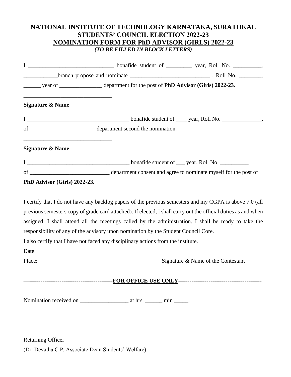## **NATIONAL INSTITUTE OF TECHNOLOGY KARNATAKA, SURATHKAL STUDENTS' COUNCIL ELECTION 2022-23 NOMINATION FORM FOR PhD ADVISOR (GIRLS) 2022-23** *(TO BE FILLED IN BLOCK LETTERS)*

|                              | year of _____________________ department for the post of PhD Advisor (Girls) 2022-23. |                                                                                                                                                                                                                                                                                                                                   |
|------------------------------|---------------------------------------------------------------------------------------|-----------------------------------------------------------------------------------------------------------------------------------------------------------------------------------------------------------------------------------------------------------------------------------------------------------------------------------|
| Signature & Name             |                                                                                       |                                                                                                                                                                                                                                                                                                                                   |
|                              |                                                                                       |                                                                                                                                                                                                                                                                                                                                   |
|                              |                                                                                       |                                                                                                                                                                                                                                                                                                                                   |
| <b>Signature &amp; Name</b>  |                                                                                       |                                                                                                                                                                                                                                                                                                                                   |
|                              |                                                                                       |                                                                                                                                                                                                                                                                                                                                   |
|                              |                                                                                       |                                                                                                                                                                                                                                                                                                                                   |
| PhD Advisor (Girls) 2022-23. |                                                                                       |                                                                                                                                                                                                                                                                                                                                   |
|                              | responsibility of any of the advisory upon nomination by the Student Council Core.    | I certify that I do not have any backlog papers of the previous semesters and my CGPA is above 7.0 (all<br>previous semesters copy of grade card attached). If elected, I shall carry out the official duties as and when<br>assigned. I shall attend all the meetings called by the administration. I shall be ready to take the |
|                              | I also certify that I have not faced any disciplinary actions from the institute.     |                                                                                                                                                                                                                                                                                                                                   |
| Date:<br>Place:              |                                                                                       | Signature & Name of the Contestant                                                                                                                                                                                                                                                                                                |
|                              |                                                                                       |                                                                                                                                                                                                                                                                                                                                   |
|                              |                                                                                       |                                                                                                                                                                                                                                                                                                                                   |
|                              |                                                                                       |                                                                                                                                                                                                                                                                                                                                   |

(Dr. Devatha C P, Associate Dean Students' Welfare)

Returning Officer